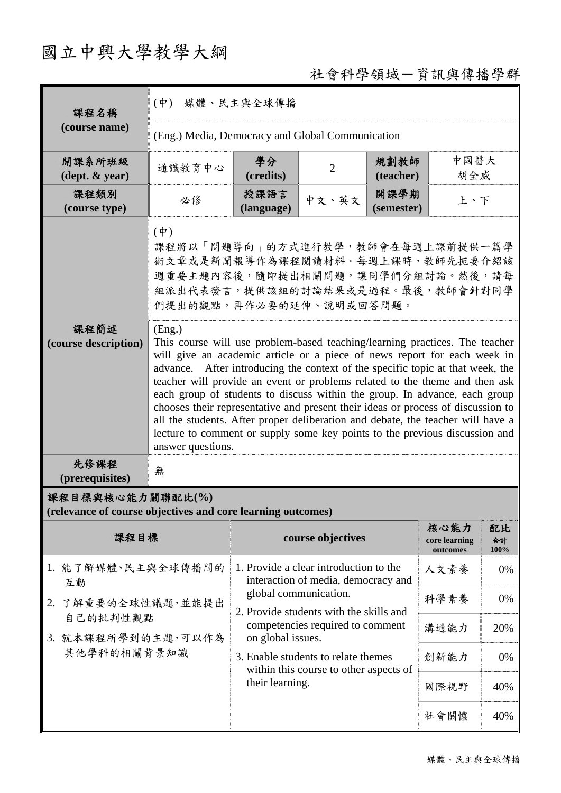# 國立中興大學教學大綱

# 社會科學領域-資訊與傳播學群

| 課程名稱                                                                            | (中) 媒體、民主與全球傳播                                                                                                                                                                                                                                                                                                                                                                                                                                                                                                                                                                                                                                                                                                                                                                                                                                                                           |                                                                  |                                                                               |                    |                                   |                  |
|---------------------------------------------------------------------------------|------------------------------------------------------------------------------------------------------------------------------------------------------------------------------------------------------------------------------------------------------------------------------------------------------------------------------------------------------------------------------------------------------------------------------------------------------------------------------------------------------------------------------------------------------------------------------------------------------------------------------------------------------------------------------------------------------------------------------------------------------------------------------------------------------------------------------------------------------------------------------------------|------------------------------------------------------------------|-------------------------------------------------------------------------------|--------------------|-----------------------------------|------------------|
| (course name)                                                                   | (Eng.) Media, Democracy and Global Communication                                                                                                                                                                                                                                                                                                                                                                                                                                                                                                                                                                                                                                                                                                                                                                                                                                         |                                                                  |                                                                               |                    |                                   |                  |
| 開課系所班級<br>$(\text{dept.} \& \text{ year})$                                      | 通識教育中心                                                                                                                                                                                                                                                                                                                                                                                                                                                                                                                                                                                                                                                                                                                                                                                                                                                                                   | 學分<br>(credits)                                                  | $\overline{2}$                                                                | 規劃教師<br>(teacher)  | 中國醫大<br>胡全威                       |                  |
| 課程類別<br>(course type)                                                           | 必修                                                                                                                                                                                                                                                                                                                                                                                                                                                                                                                                                                                                                                                                                                                                                                                                                                                                                       | 授課語言<br>(language)                                               | 中文、英文                                                                         | 開課學期<br>(semester) | 上、下                               |                  |
|                                                                                 | $(\dot{\Psi})$<br>課程將以「問題導向」的方式進行教學,教師會在每週上課前提供一篇學<br>術文章或是新聞報導作為課程閱讀材料。每週上課時,教師先扼要介紹該<br>週重要主題內容後,隨即提出相關問題,讓同學們分組討論。然後,請每<br>組派出代表發言,提供該組的討論結果或是過程。最後,教師會針對同學<br>們提出的觀點,再作必要的延伸、說明或回答問題。<br>(Eng.)<br>This course will use problem-based teaching/learning practices. The teacher<br>will give an academic article or a piece of news report for each week in<br>advance. After introducing the context of the specific topic at that week, the<br>teacher will provide an event or problems related to the theme and then ask<br>each group of students to discuss within the group. In advance, each group<br>chooses their representative and present their ideas or process of discussion to<br>all the students. After proper deliberation and debate, the teacher will have a<br>lecture to comment or supply some key points to the previous discussion and<br>answer questions. |                                                                  |                                                                               |                    |                                   |                  |
| 課程簡述<br>(course description)                                                    |                                                                                                                                                                                                                                                                                                                                                                                                                                                                                                                                                                                                                                                                                                                                                                                                                                                                                          |                                                                  |                                                                               |                    |                                   |                  |
| 先修課程<br>(prerequisites)                                                         | 無                                                                                                                                                                                                                                                                                                                                                                                                                                                                                                                                                                                                                                                                                                                                                                                                                                                                                        |                                                                  |                                                                               |                    |                                   |                  |
| 課程目標與核心能力關聯配比(%)<br>(relevance of course objectives and core learning outcomes) |                                                                                                                                                                                                                                                                                                                                                                                                                                                                                                                                                                                                                                                                                                                                                                                                                                                                                          |                                                                  |                                                                               |                    |                                   |                  |
| 課程目標                                                                            |                                                                                                                                                                                                                                                                                                                                                                                                                                                                                                                                                                                                                                                                                                                                                                                                                                                                                          |                                                                  | course objectives                                                             |                    | 核心能力<br>core learning<br>outcomes | 配比<br>合計<br>100% |
| 1. 能了解媒體、民主與全球傳播間的<br>互動                                                        |                                                                                                                                                                                                                                                                                                                                                                                                                                                                                                                                                                                                                                                                                                                                                                                                                                                                                          |                                                                  | 1. Provide a clear introduction to the<br>interaction of media, democracy and |                    | 人文素養                              | 0%               |
| 2. 了解重要的全球性議題,並能提出<br>自己的批判性觀點                                                  |                                                                                                                                                                                                                                                                                                                                                                                                                                                                                                                                                                                                                                                                                                                                                                                                                                                                                          | global communication.<br>2. Provide students with the skills and |                                                                               |                    | 科學素養                              | 0%               |
|                                                                                 | 3. 就本課程所學到的主題,可以作為                                                                                                                                                                                                                                                                                                                                                                                                                                                                                                                                                                                                                                                                                                                                                                                                                                                                       | competencies required to comment<br>on global issues.            |                                                                               |                    | 溝通能力                              | 20%              |
| 其他學科的相關背景知識                                                                     |                                                                                                                                                                                                                                                                                                                                                                                                                                                                                                                                                                                                                                                                                                                                                                                                                                                                                          |                                                                  | 3. Enable students to relate themes<br>within this course to other aspects of |                    | 創新能力                              | 0%               |
|                                                                                 |                                                                                                                                                                                                                                                                                                                                                                                                                                                                                                                                                                                                                                                                                                                                                                                                                                                                                          | their learning.                                                  |                                                                               |                    | 國際視野                              | 40%              |
|                                                                                 |                                                                                                                                                                                                                                                                                                                                                                                                                                                                                                                                                                                                                                                                                                                                                                                                                                                                                          |                                                                  |                                                                               |                    | 社會關懷                              | 40%              |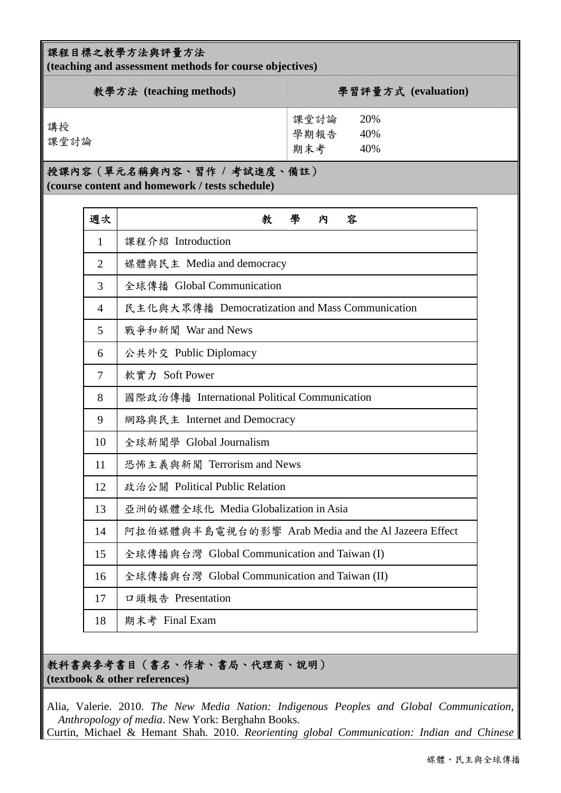#### 課程目標之教學方法與評量方法

**(teaching and assessment methods for course objectives)** 

| 教學方法 (teaching methods) | 學習評量方式 (evaluation)                      |
|-------------------------|------------------------------------------|
| 講授<br>課堂討論              | 課堂討論<br>20%<br>學期報告<br>40%<br>期末考<br>40% |

#### 授課內容(單元名稱與內容、習作 **/** 考試進度、備註)

**(course content and homework / tests schedule)** 

| 週次             | 學<br>教<br>內<br>容                                    |
|----------------|-----------------------------------------------------|
| 1              | 課程介紹 Introduction                                   |
| $\overline{2}$ | 媒體與民主 Media and democracy                           |
| 3              | 全球傳播 Global Communication                           |
| $\overline{4}$ | 民主化與大眾傳播 Democratization and Mass Communication     |
| 5              | 戰爭和新聞 War and News                                  |
| 6              | 公共外交 Public Diplomacy                               |
| 7              | 軟實力 Soft Power                                      |
| 8              | 國際政治傳播 International Political Communication        |
| 9              | 網路與民主 Internet and Democracy                        |
| 10             | 全球新聞學 Global Journalism                             |
| 11             | 恐怖主義與新聞 Terrorism and News                          |
| 12             | 政治公關 Political Public Relation                      |
| 13             | 亞洲的媒體全球化 Media Globalization in Asia                |
| 14             | 阿拉伯媒體與半島電視台的影響 Arab Media and the Al Jazeera Effect |
| 15             | 全球傳播與台灣 Global Communication and Taiwan (I)         |
| 16             | 全球傳播與台灣 Global Communication and Taiwan (II)        |
| 17             | 口頭報告 Presentation                                   |
| 18             | 期末考 Final Exam                                      |

### 教科書與參考書目(書名、作者、書局、代理商、說明) **(textbook & other references)**

Alia, Valerie. 2010. *The New Media Nation: Indigenous Peoples and Global Communication*, *Anthropology of media*. New York: Berghahn Books.

Curtin, Michael & Hemant Shah. 2010. *Reorienting global Communication: Indian and Chinese*